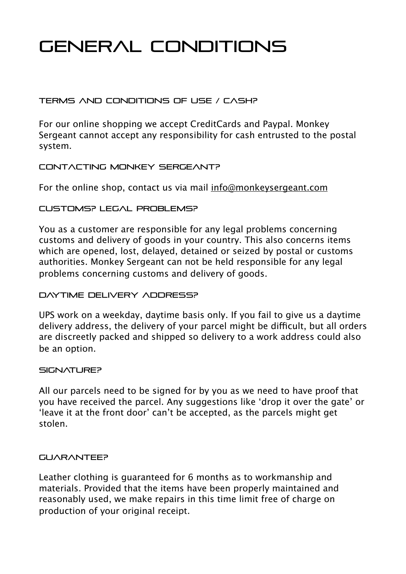# General Conditions

# TERMS AND CONDITIONS OF USE / CASH?

For our online shopping we accept CreditCards and Paypal. Monkey Sergeant cannot accept any responsibility for cash entrusted to the postal system.

# CONTACTING MONKEY SERGEANT?

For the online shop, contact us via mail [info@monkeysergeant.com](mailto:info@monkeysergeant.com)

# Customs? Legal problems?

You as a customer are responsible for any legal problems concerning customs and delivery of goods in your country. This also concerns items which are opened, lost, delayed, detained or seized by postal or customs authorities. Monkey Sergeant can not be held responsible for any legal problems concerning customs and delivery of goods.

# Daytime delivery address?

UPS work on a weekday, daytime basis only. If you fail to give us a daytime delivery address, the delivery of your parcel might be difficult, but all orders are discreetly packed and shipped so delivery to a work address could also be an option.

## SIGNATI IREP

All our parcels need to be signed for by you as we need to have proof that you have received the parcel. Any suggestions like 'drop it over the gate' or 'leave it at the front door' can't be accepted, as the parcels might get stolen.

## **GUARANTEE?**

Leather clothing is guaranteed for 6 months as to workmanship and materials. Provided that the items have been properly maintained and reasonably used, we make repairs in this time limit free of charge on production of your original receipt.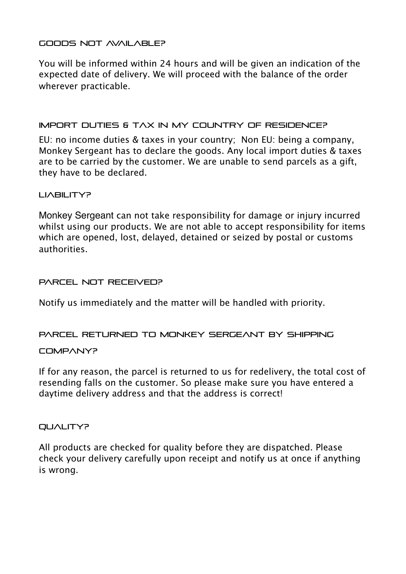## Goods not available?

You will be informed within 24 hours and will be given an indication of the expected date of delivery. We will proceed with the balance of the order wherever practicable.

## Import duties & tax in my country of residence?

EU: no income duties & taxes in your country; Non EU: being a company, Monkey Sergeant has to declare the goods. Any local import duties & taxes are to be carried by the customer. We are unable to send parcels as a gift, they have to be declared.

## LIABILITY?

Monkey Sergeant can not take responsibility for damage or injury incurred whilst using our products. We are not able to accept responsibility for items which are opened, lost, delayed, detained or seized by postal or customs authorities.

#### PARCEL NOT RECEIVED?

Notify us immediately and the matter will be handled with priority.

PARCEL RETURNED TO MONKEY SERGEANT BY SHIPPING

#### COMPANY?

If for any reason, the parcel is returned to us for redelivery, the total cost of resending falls on the customer. So please make sure you have entered a daytime delivery address and that the address is correct!

#### QUALITY?

All products are checked for quality before they are dispatched. Please check your delivery carefully upon receipt and notify us at once if anything is wrong.